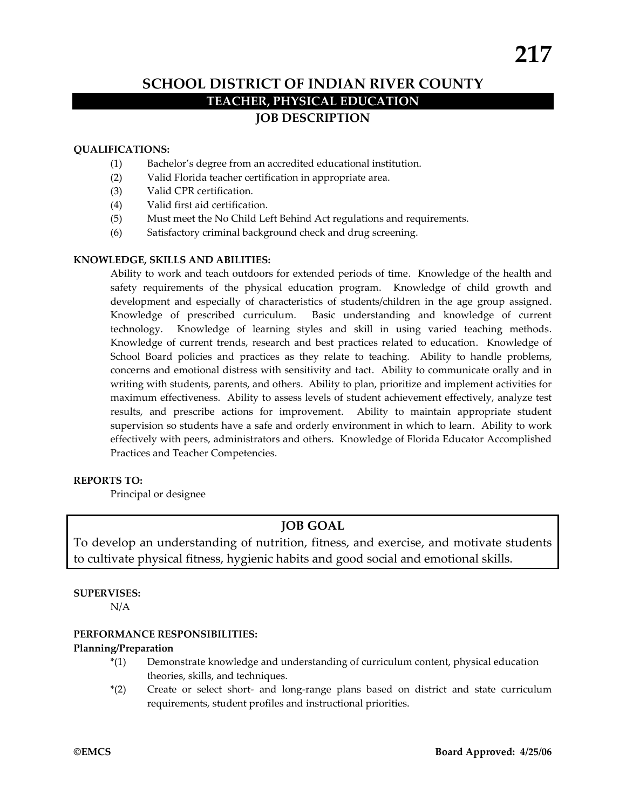# **SCHOOL DISTRICT OF INDIAN RIVER COUNTY TEACHER, PHYSICAL EDUCATION JOB DESCRIPTION**

#### **QUALIFICATIONS:**

- (1) Bachelor's degree from an accredited educational institution.
- (2) Valid Florida teacher certification in appropriate area.
- (3) Valid CPR certification.
- (4) Valid first aid certification.
- (5) Must meet the No Child Left Behind Act regulations and requirements.
- (6) Satisfactory criminal background check and drug screening.

#### **KNOWLEDGE, SKILLS AND ABILITIES:**

Ability to work and teach outdoors for extended periods of time. Knowledge of the health and safety requirements of the physical education program. Knowledge of child growth and development and especially of characteristics of students/children in the age group assigned. Knowledge of prescribed curriculum. Basic understanding and knowledge of current technology. Knowledge of learning styles and skill in using varied teaching methods. Knowledge of current trends, research and best practices related to education. Knowledge of School Board policies and practices as they relate to teaching. Ability to handle problems, concerns and emotional distress with sensitivity and tact. Ability to communicate orally and in writing with students, parents, and others. Ability to plan, prioritize and implement activities for maximum effectiveness. Ability to assess levels of student achievement effectively, analyze test results, and prescribe actions for improvement. Ability to maintain appropriate student supervision so students have a safe and orderly environment in which to learn. Ability to work effectively with peers, administrators and others. Knowledge of Florida Educator Accomplished Practices and Teacher Competencies.

### **REPORTS TO:**

Principal or designee

## **JOB GOAL**

To develop an understanding of nutrition, fitness, and exercise, and motivate students to cultivate physical fitness, hygienic habits and good social and emotional skills.

#### **SUPERVISES:**

N/A

#### **PERFORMANCE RESPONSIBILITIES:**

#### **Planning/Preparation**

- \*(1) Demonstrate knowledge and understanding of curriculum content, physical education theories, skills, and techniques.
- \*(2) Create or select short- and long-range plans based on district and state curriculum requirements, student profiles and instructional priorities.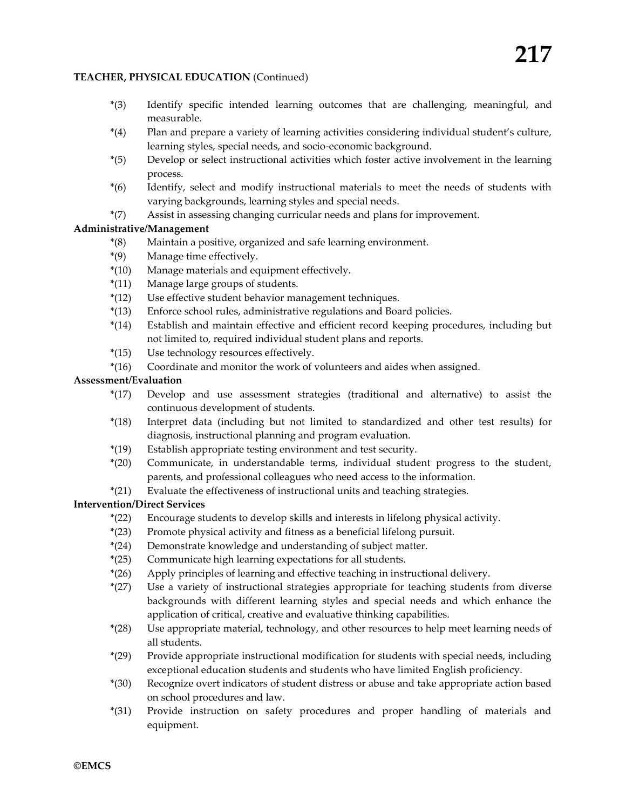#### **TEACHER, PHYSICAL EDUCATION** (Continued)

- \*(3) Identify specific intended learning outcomes that are challenging, meaningful, and measurable.
- \*(4) Plan and prepare a variety of learning activities considering individual student's culture, learning styles, special needs, and socio-economic background.
- \*(5) Develop or select instructional activities which foster active involvement in the learning process.
- \*(6) Identify, select and modify instructional materials to meet the needs of students with varying backgrounds, learning styles and special needs.
- \*(7) Assist in assessing changing curricular needs and plans for improvement.

#### **Administrative/Management**

- \*(8) Maintain a positive, organized and safe learning environment.
- \*(9) Manage time effectively.
- \*(10) Manage materials and equipment effectively.
- \*(11) Manage large groups of students.
- \*(12) Use effective student behavior management techniques.
- \*(13) Enforce school rules, administrative regulations and Board policies.
- \*(14) Establish and maintain effective and efficient record keeping procedures, including but not limited to, required individual student plans and reports.
- \*(15) Use technology resources effectively.
- \*(16) Coordinate and monitor the work of volunteers and aides when assigned.

#### **Assessment/Evaluation**

- \*(17) Develop and use assessment strategies (traditional and alternative) to assist the continuous development of students.
- \*(18) Interpret data (including but not limited to standardized and other test results) for diagnosis, instructional planning and program evaluation.
- \*(19) Establish appropriate testing environment and test security.
- \*(20) Communicate, in understandable terms, individual student progress to the student, parents, and professional colleagues who need access to the information.
- \*(21) Evaluate the effectiveness of instructional units and teaching strategies.

#### **Intervention/Direct Services**

- \*(22) Encourage students to develop skills and interests in lifelong physical activity.
- \*(23) Promote physical activity and fitness as a beneficial lifelong pursuit.
- \*(24) Demonstrate knowledge and understanding of subject matter.
- \*(25) Communicate high learning expectations for all students.
- \*(26) Apply principles of learning and effective teaching in instructional delivery.
- \*(27) Use a variety of instructional strategies appropriate for teaching students from diverse backgrounds with different learning styles and special needs and which enhance the application of critical, creative and evaluative thinking capabilities.
- \*(28) Use appropriate material, technology, and other resources to help meet learning needs of all students.
- \*(29) Provide appropriate instructional modification for students with special needs, including exceptional education students and students who have limited English proficiency.
- \*(30) Recognize overt indicators of student distress or abuse and take appropriate action based on school procedures and law.
- \*(31) Provide instruction on safety procedures and proper handling of materials and equipment.